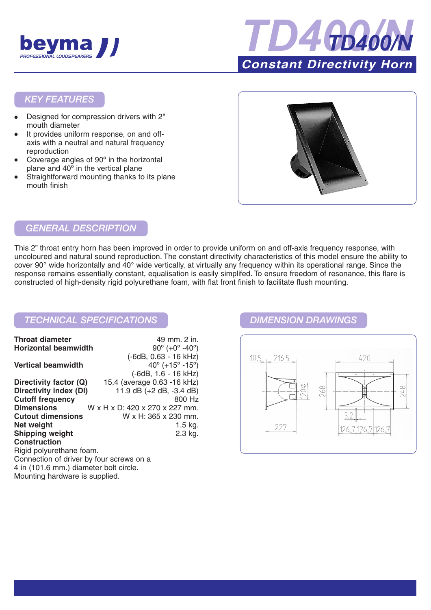



### *KEY FEATURES*

- Designed for compression drivers with 2" mouth diameter
- It provides uniform response, on and offaxis with a neutral and natural frequency reproduction
- Coverage angles of 90° in the horizontal plane and  $40^{\circ}$  in the vertical plane
- Straightforward mounting thanks to its plane mouth finish



# *GENERAL DESCRIPTION*

This 2" throat entry horn has been improved in order to provide uniform on and off-axis frequency response, with uncoloured and natural sound reproduction. The constant directivity characteristics of this model ensure the ability to cover 90° wide horizontally and 40° wide vertically, at virtually any frequency within its operational range. Since the response remains essentially constant, equalisation is easily simplifed. To ensure freedom of resonance, this flare is constructed of high-density rigid polyurethane foam, with flat front finish to facilitate flush mounting.

## *TECHNICAL SPECIFICATIONS DIMENSION DRAWINGS*

| <b>Throat diameter</b>                   | 49 mm. 2 in.                                  |
|------------------------------------------|-----------------------------------------------|
| <b>Horizontal beamwidth</b>              | $90^{\circ}$ (+0 $^{\circ}$ -40 $^{\circ}$ )  |
|                                          | (-6dB, 0.63 - 16 kHz)                         |
| <b>Vertical beamwidth</b>                | $40^{\circ}$ (+15 $^{\circ}$ -15 $^{\circ}$ ) |
|                                          | (-6dB, 1.6 - 16 kHz)                          |
| Directivity factor (Q)                   | 15.4 (average 0.63 -16 kHz)                   |
| Directivity index (DI)                   | 11.9 dB (+2 dB, -3.4 dB)                      |
| <b>Cutoff frequency</b>                  | 800 Hz                                        |
| <b>Dimensions</b>                        | W x H x D: 420 x 270 x 227 mm.                |
| <b>Cutout dimensions</b>                 | W x H: 365 x 230 mm.                          |
| Net weight                               | $1.5$ kg.                                     |
| <b>Shipping weight</b>                   | 2.3 kg.                                       |
| <b>Construction</b>                      |                                               |
| Rigid polyurethane foam.                 |                                               |
| Connection of driver by four screws on a |                                               |
| 4 in (101.6 mm.) diameter bolt circle.   |                                               |

Mounting hardware is supplied.